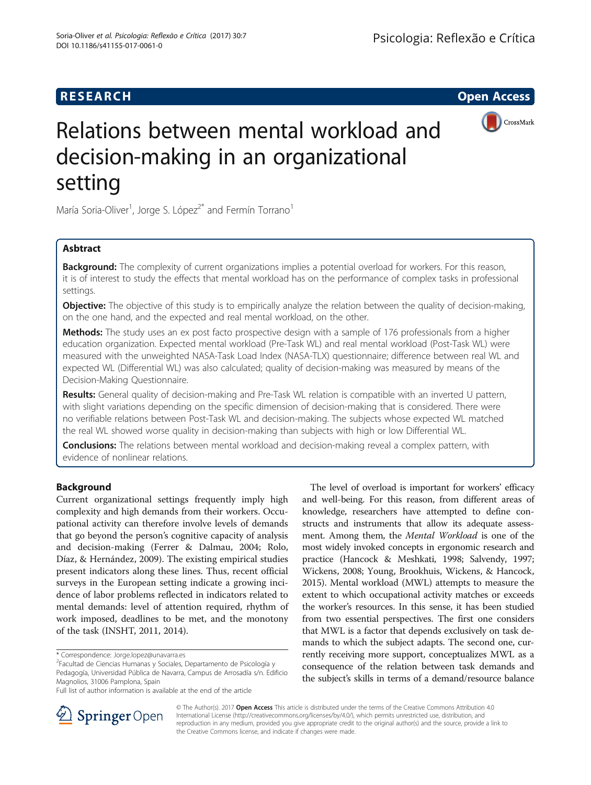## **RESEARCH CHE Open Access**



# Relations between mental workload and decision-making in an organizational setting

María Soria-Oliver<sup>1</sup>, Jorge S. López<sup>2\*</sup> and Fermín Torrano<sup>1</sup>

## Asbtract

**Background:** The complexity of current organizations implies a potential overload for workers. For this reason, it is of interest to study the effects that mental workload has on the performance of complex tasks in professional settings.

**Objective:** The objective of this study is to empirically analyze the relation between the quality of decision-making, on the one hand, and the expected and real mental workload, on the other.

Methods: The study uses an ex post facto prospective design with a sample of 176 professionals from a higher education organization. Expected mental workload (Pre-Task WL) and real mental workload (Post-Task WL) were measured with the unweighted NASA-Task Load Index (NASA-TLX) questionnaire; difference between real WL and expected WL (Differential WL) was also calculated; quality of decision-making was measured by means of the Decision-Making Questionnaire.

Results: General quality of decision-making and Pre-Task WL relation is compatible with an inverted U pattern, with slight variations depending on the specific dimension of decision-making that is considered. There were no verifiable relations between Post-Task WL and decision-making. The subjects whose expected WL matched the real WL showed worse quality in decision-making than subjects with high or low Differential WL.

**Conclusions:** The relations between mental workload and decision-making reveal a complex pattern, with evidence of nonlinear relations.

## Background

Current organizational settings frequently imply high complexity and high demands from their workers. Occupational activity can therefore involve levels of demands that go beyond the person's cognitive capacity of analysis and decision-making (Ferrer & Dalmau, [2004;](#page-13-0) Rolo, Díaz, & Hernández, [2009](#page-13-0)). The existing empirical studies present indicators along these lines. Thus, recent official surveys in the European setting indicate a growing incidence of labor problems reflected in indicators related to mental demands: level of attention required, rhythm of work imposed, deadlines to be met, and the monotony of the task (INSHT, [2011, 2014](#page-13-0)).

The level of overload is important for workers' efficacy and well-being. For this reason, from different areas of knowledge, researchers have attempted to define constructs and instruments that allow its adequate assessment. Among them, the Mental Workload is one of the most widely invoked concepts in ergonomic research and practice (Hancock & Meshkati, [1998](#page-13-0); Salvendy, [1997](#page-13-0); Wickens, [2008;](#page-13-0) Young, Brookhuis, Wickens, & Hancock, [2015\)](#page-13-0). Mental workload (MWL) attempts to measure the extent to which occupational activity matches or exceeds the worker's resources. In this sense, it has been studied from two essential perspectives. The first one considers that MWL is a factor that depends exclusively on task demands to which the subject adapts. The second one, currently receiving more support, conceptualizes MWL as a consequence of the relation between task demands and the subject's skills in terms of a demand/resource balance



© The Author(s). 2017 **Open Access** This article is distributed under the terms of the Creative Commons Attribution 4.0 International License ([http://creativecommons.org/licenses/by/4.0/\)](http://creativecommons.org/licenses/by/4.0/), which permits unrestricted use, distribution, and reproduction in any medium, provided you give appropriate credit to the original author(s) and the source, provide a link to the Creative Commons license, and indicate if changes were made.

<sup>\*</sup> Correspondence: [Jorge.lopez@unavarra.es](mailto:Jorge.lopez@unavarra.es) <sup>2</sup>

<sup>&</sup>lt;sup>2</sup>Facultad de Ciencias Humanas y Sociales, Departamento de Psicología y Pedagogía, Universidad Pública de Navarra, Campus de Arrosadía s/n. Edificio Magnolios, 31006 Pamplona, Spain

Full list of author information is available at the end of the article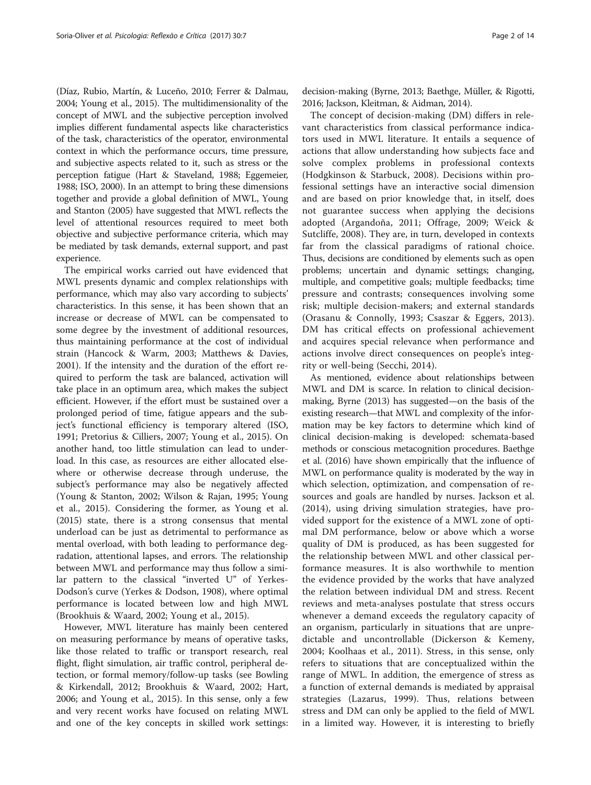(Díaz, Rubio, Martín, & Luceño, [2010](#page-13-0); Ferrer & Dalmau, [2004;](#page-13-0) Young et al., [2015\)](#page-13-0). The multidimensionality of the concept of MWL and the subjective perception involved implies different fundamental aspects like characteristics of the task, characteristics of the operator, environmental context in which the performance occurs, time pressure, and subjective aspects related to it, such as stress or the perception fatigue (Hart & Staveland, [1988](#page-13-0); Eggemeier, [1988;](#page-13-0) ISO, [2000\)](#page-13-0). In an attempt to bring these dimensions together and provide a global definition of MWL, Young and Stanton ([2005\)](#page-13-0) have suggested that MWL reflects the level of attentional resources required to meet both objective and subjective performance criteria, which may be mediated by task demands, external support, and past experience.

The empirical works carried out have evidenced that MWL presents dynamic and complex relationships with performance, which may also vary according to subjects' characteristics. In this sense, it has been shown that an increase or decrease of MWL can be compensated to some degree by the investment of additional resources, thus maintaining performance at the cost of individual strain (Hancock & Warm, [2003;](#page-13-0) Matthews & Davies, [2001](#page-13-0)). If the intensity and the duration of the effort required to perform the task are balanced, activation will take place in an optimum area, which makes the subject efficient. However, if the effort must be sustained over a prolonged period of time, fatigue appears and the subject's functional efficiency is temporary altered (ISO, [1991](#page-13-0); Pretorius & Cilliers, [2007](#page-13-0); Young et al., [2015\)](#page-13-0). On another hand, too little stimulation can lead to underload. In this case, as resources are either allocated elsewhere or otherwise decrease through underuse, the subject's performance may also be negatively affected (Young & Stanton, [2002](#page-13-0); Wilson & Rajan, [1995;](#page-13-0) Young et al., [2015\)](#page-13-0). Considering the former, as Young et al. ([2015](#page-13-0)) state, there is a strong consensus that mental underload can be just as detrimental to performance as mental overload, with both leading to performance degradation, attentional lapses, and errors. The relationship between MWL and performance may thus follow a similar pattern to the classical "inverted U" of Yerkes-Dodson's curve (Yerkes & Dodson, [1908](#page-13-0)), where optimal performance is located between low and high MWL (Brookhuis & Waard, [2002;](#page-13-0) Young et al., [2015\)](#page-13-0).

However, MWL literature has mainly been centered on measuring performance by means of operative tasks, like those related to traffic or transport research, real flight, flight simulation, air traffic control, peripheral detection, or formal memory/follow-up tasks (see Bowling & Kirkendall, [2012](#page-12-0); Brookhuis & Waard, [2002;](#page-13-0) Hart, [2006](#page-13-0); and Young et al., [2015](#page-13-0)). In this sense, only a few and very recent works have focused on relating MWL and one of the key concepts in skilled work settings:

decision-making (Byrne, [2013](#page-13-0); Baethge, Müller, & Rigotti, [2016](#page-12-0); Jackson, Kleitman, & Aidman, [2014\)](#page-13-0).

The concept of decision-making (DM) differs in relevant characteristics from classical performance indicators used in MWL literature. It entails a sequence of actions that allow understanding how subjects face and solve complex problems in professional contexts (Hodgkinson & Starbuck, [2008\)](#page-13-0). Decisions within professional settings have an interactive social dimension and are based on prior knowledge that, in itself, does not guarantee success when applying the decisions adopted (Argandoña, [2011](#page-12-0); Offrage, [2009](#page-13-0); Weick & Sutcliffe, [2008\)](#page-13-0). They are, in turn, developed in contexts far from the classical paradigms of rational choice. Thus, decisions are conditioned by elements such as open problems; uncertain and dynamic settings; changing, multiple, and competitive goals; multiple feedbacks; time pressure and contrasts; consequences involving some risk; multiple decision-makers; and external standards (Orasanu & Connolly, [1993](#page-13-0); Csaszar & Eggers, [2013](#page-13-0)). DM has critical effects on professional achievement and acquires special relevance when performance and actions involve direct consequences on people's integrity or well-being (Secchi, [2014\)](#page-13-0).

As mentioned, evidence about relationships between MWL and DM is scarce. In relation to clinical decisionmaking, Byrne [\(2013\)](#page-13-0) has suggested—on the basis of the existing research—that MWL and complexity of the information may be key factors to determine which kind of clinical decision-making is developed: schemata-based methods or conscious metacognition procedures. Baethge et al. [\(2016](#page-12-0)) have shown empirically that the influence of MWL on performance quality is moderated by the way in which selection, optimization, and compensation of resources and goals are handled by nurses. Jackson et al. ([2014](#page-13-0)), using driving simulation strategies, have provided support for the existence of a MWL zone of optimal DM performance, below or above which a worse quality of DM is produced, as has been suggested for the relationship between MWL and other classical performance measures. It is also worthwhile to mention the evidence provided by the works that have analyzed the relation between individual DM and stress. Recent reviews and meta-analyses postulate that stress occurs whenever a demand exceeds the regulatory capacity of an organism, particularly in situations that are unpredictable and uncontrollable (Dickerson & Kemeny, [2004;](#page-13-0) Koolhaas et al., [2011](#page-13-0)). Stress, in this sense, only refers to situations that are conceptualized within the range of MWL. In addition, the emergence of stress as a function of external demands is mediated by appraisal strategies (Lazarus, [1999\)](#page-13-0). Thus, relations between stress and DM can only be applied to the field of MWL in a limited way. However, it is interesting to briefly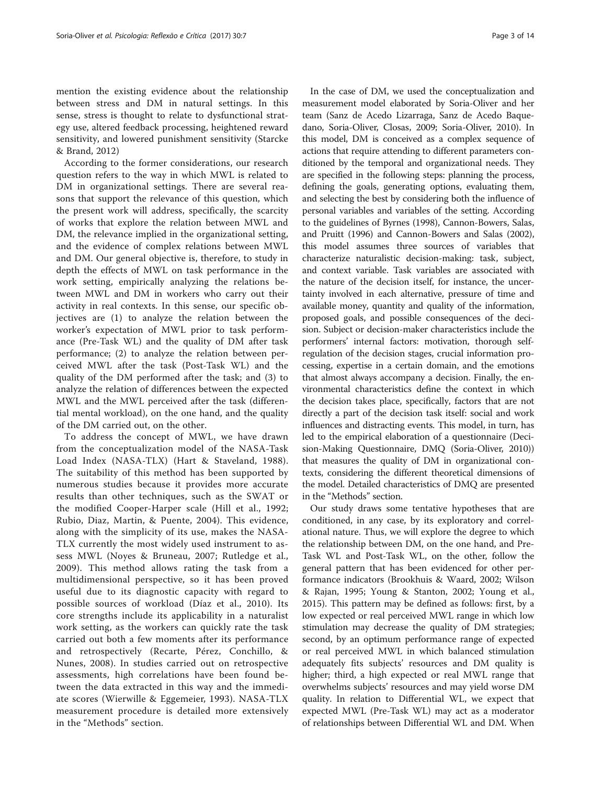mention the existing evidence about the relationship between stress and DM in natural settings. In this sense, stress is thought to relate to dysfunctional strategy use, altered feedback processing, heightened reward sensitivity, and lowered punishment sensitivity (Starcke & Brand, [2012](#page-13-0))

According to the former considerations, our research question refers to the way in which MWL is related to DM in organizational settings. There are several reasons that support the relevance of this question, which the present work will address, specifically, the scarcity of works that explore the relation between MWL and DM, the relevance implied in the organizational setting, and the evidence of complex relations between MWL and DM. Our general objective is, therefore, to study in depth the effects of MWL on task performance in the work setting, empirically analyzing the relations between MWL and DM in workers who carry out their activity in real contexts. In this sense, our specific objectives are (1) to analyze the relation between the worker's expectation of MWL prior to task performance (Pre-Task WL) and the quality of DM after task performance; (2) to analyze the relation between perceived MWL after the task (Post-Task WL) and the quality of the DM performed after the task; and (3) to analyze the relation of differences between the expected MWL and the MWL perceived after the task (differential mental workload), on the one hand, and the quality of the DM carried out, on the other.

To address the concept of MWL, we have drawn from the conceptualization model of the NASA-Task Load Index (NASA-TLX) (Hart & Staveland, [1988](#page-13-0)). The suitability of this method has been supported by numerous studies because it provides more accurate results than other techniques, such as the SWAT or the modified Cooper-Harper scale (Hill et al., [1992](#page-13-0); Rubio, Diaz, Martin, & Puente, [2004](#page-13-0)). This evidence, along with the simplicity of its use, makes the NASA-TLX currently the most widely used instrument to assess MWL (Noyes & Bruneau, [2007;](#page-13-0) Rutledge et al., [2009](#page-13-0)). This method allows rating the task from a multidimensional perspective, so it has been proved useful due to its diagnostic capacity with regard to possible sources of workload (Díaz et al., [2010](#page-13-0)). Its core strengths include its applicability in a naturalist work setting, as the workers can quickly rate the task carried out both a few moments after its performance and retrospectively (Recarte, Pérez, Conchillo, & Nunes, [2008](#page-13-0)). In studies carried out on retrospective assessments, high correlations have been found between the data extracted in this way and the immediate scores (Wierwille & Eggemeier, [1993](#page-13-0)). NASA-TLX measurement procedure is detailed more extensively in the "[Methods](#page-3-0)" section.

In the case of DM, we used the conceptualization and measurement model elaborated by Soria-Oliver and her team (Sanz de Acedo Lizarraga, Sanz de Acedo Baquedano, Soria-Oliver, Closas, [2009;](#page-13-0) Soria-Oliver, [2010\)](#page-13-0). In this model, DM is conceived as a complex sequence of actions that require attending to different parameters conditioned by the temporal and organizational needs. They are specified in the following steps: planning the process, defining the goals, generating options, evaluating them, and selecting the best by considering both the influence of personal variables and variables of the setting. According to the guidelines of Byrnes [\(1998](#page-13-0)), Cannon-Bowers, Salas, and Pruitt ([1996](#page-13-0)) and Cannon-Bowers and Salas [\(2002](#page-13-0)), this model assumes three sources of variables that characterize naturalistic decision-making: task, subject, and context variable. Task variables are associated with the nature of the decision itself, for instance, the uncertainty involved in each alternative, pressure of time and available money, quantity and quality of the information, proposed goals, and possible consequences of the decision. Subject or decision-maker characteristics include the performers' internal factors: motivation, thorough selfregulation of the decision stages, crucial information processing, expertise in a certain domain, and the emotions that almost always accompany a decision. Finally, the environmental characteristics define the context in which the decision takes place, specifically, factors that are not directly a part of the decision task itself: social and work influences and distracting events. This model, in turn, has led to the empirical elaboration of a questionnaire (Decision-Making Questionnaire, DMQ (Soria-Oliver, [2010](#page-13-0))) that measures the quality of DM in organizational contexts, considering the different theoretical dimensions of the model. Detailed characteristics of DMQ are presented in the "[Methods](#page-3-0)" section.

Our study draws some tentative hypotheses that are conditioned, in any case, by its exploratory and correlational nature. Thus, we will explore the degree to which the relationship between DM, on the one hand, and Pre-Task WL and Post-Task WL, on the other, follow the general pattern that has been evidenced for other performance indicators (Brookhuis & Waard, [2002](#page-13-0); Wilson & Rajan, [1995](#page-13-0); Young & Stanton, [2002;](#page-13-0) Young et al., [2015](#page-13-0)). This pattern may be defined as follows: first, by a low expected or real perceived MWL range in which low stimulation may decrease the quality of DM strategies; second, by an optimum performance range of expected or real perceived MWL in which balanced stimulation adequately fits subjects' resources and DM quality is higher; third, a high expected or real MWL range that overwhelms subjects' resources and may yield worse DM quality. In relation to Differential WL, we expect that expected MWL (Pre-Task WL) may act as a moderator of relationships between Differential WL and DM. When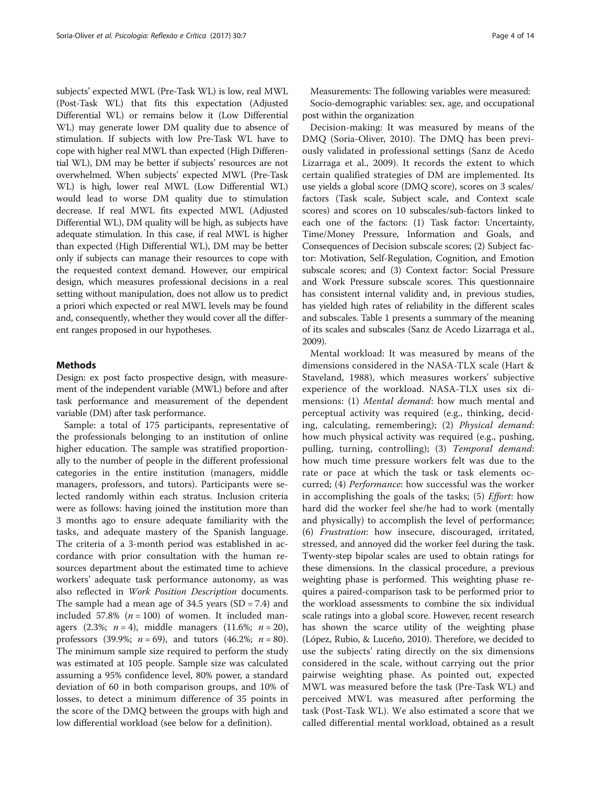<span id="page-3-0"></span>subjects' expected MWL (Pre-Task WL) is low, real MWL (Post-Task WL) that fits this expectation (Adjusted Differential WL) or remains below it (Low Differential WL) may generate lower DM quality due to absence of stimulation. If subjects with low Pre-Task WL have to cope with higher real MWL than expected (High Differential WL), DM may be better if subjects' resources are not overwhelmed. When subjects' expected MWL (Pre-Task WL) is high, lower real MWL (Low Differential WL) would lead to worse DM quality due to stimulation decrease. If real MWL fits expected MWL (Adjusted Differential WL), DM quality will be high, as subjects have adequate stimulation. In this case, if real MWL is higher than expected (High Differential WL), DM may be better only if subjects can manage their resources to cope with the requested context demand. However, our empirical design, which measures professional decisions in a real setting without manipulation, does not allow us to predict a priori which expected or real MWL levels may be found and, consequently, whether they would cover all the different ranges proposed in our hypotheses.

## Methods

Design: ex post facto prospective design, with measurement of the independent variable (MWL) before and after task performance and measurement of the dependent variable (DM) after task performance.

Sample: a total of 175 participants, representative of the professionals belonging to an institution of online higher education. The sample was stratified proportionally to the number of people in the different professional categories in the entire institution (managers, middle managers, professors, and tutors). Participants were selected randomly within each stratus. Inclusion criteria were as follows: having joined the institution more than 3 months ago to ensure adequate familiarity with the tasks, and adequate mastery of the Spanish language. The criteria of a 3-month period was established in accordance with prior consultation with the human resources department about the estimated time to achieve workers' adequate task performance autonomy, as was also reflected in Work Position Description documents. The sample had a mean age of  $34.5$  years  $(SD = 7.4)$  and included 57.8% ( $n = 100$ ) of women. It included managers (2.3%;  $n = 4$ ), middle managers (11.6%;  $n = 20$ ), professors (39.9%;  $n = 69$ ), and tutors (46.2%;  $n = 80$ ). The minimum sample size required to perform the study was estimated at 105 people. Sample size was calculated assuming a 95% confidence level, 80% power, a standard deviation of 60 in both comparison groups, and 10% of losses, to detect a minimum difference of 35 points in the score of the DMQ between the groups with high and low differential workload (see below for a definition).

Measurements: The following variables were measured: Socio-demographic variables: sex, age, and occupational post within the organization

Decision-making: It was measured by means of the DMQ (Soria-Oliver, [2010](#page-13-0)). The DMQ has been previously validated in professional settings (Sanz de Acedo Lizarraga et al., [2009](#page-13-0)). It records the extent to which certain qualified strategies of DM are implemented. Its use yields a global score (DMQ score), scores on 3 scales/ factors (Task scale, Subject scale, and Context scale scores) and scores on 10 subscales/sub-factors linked to each one of the factors: (1) Task factor: Uncertainty, Time/Money Pressure, Information and Goals, and Consequences of Decision subscale scores; (2) Subject factor: Motivation, Self-Regulation, Cognition, and Emotion subscale scores; and (3) Context factor: Social Pressure and Work Pressure subscale scores. This questionnaire has consistent internal validity and, in previous studies, has yielded high rates of reliability in the different scales and subscales. Table [1](#page-4-0) presents a summary of the meaning of its scales and subscales (Sanz de Acedo Lizarraga et al., [2009\)](#page-13-0).

Mental workload: It was measured by means of the dimensions considered in the NASA-TLX scale (Hart & Staveland, [1988](#page-13-0)), which measures workers' subjective experience of the workload. NASA-TLX uses six dimensions: (1) Mental demand: how much mental and perceptual activity was required (e.g., thinking, deciding, calculating, remembering); (2) Physical demand: how much physical activity was required (e.g., pushing, pulling, turning, controlling); (3) Temporal demand: how much time pressure workers felt was due to the rate or pace at which the task or task elements occurred; (4) Performance: how successful was the worker in accomplishing the goals of the tasks; (5) Effort: how hard did the worker feel she/he had to work (mentally and physically) to accomplish the level of performance; (6) Frustration: how insecure, discouraged, irritated, stressed, and annoyed did the worker feel during the task. Twenty-step bipolar scales are used to obtain ratings for these dimensions. In the classical procedure, a previous weighting phase is performed. This weighting phase requires a paired-comparison task to be performed prior to the workload assessments to combine the six individual scale ratings into a global score. However, recent research has shown the scarce utility of the weighting phase (López, Rubio, & Luceño, [2010\)](#page-13-0). Therefore, we decided to use the subjects' rating directly on the six dimensions considered in the scale, without carrying out the prior pairwise weighting phase. As pointed out, expected MWL was measured before the task (Pre-Task WL) and perceived MWL was measured after performing the task (Post-Task WL). We also estimated a score that we called differential mental workload, obtained as a result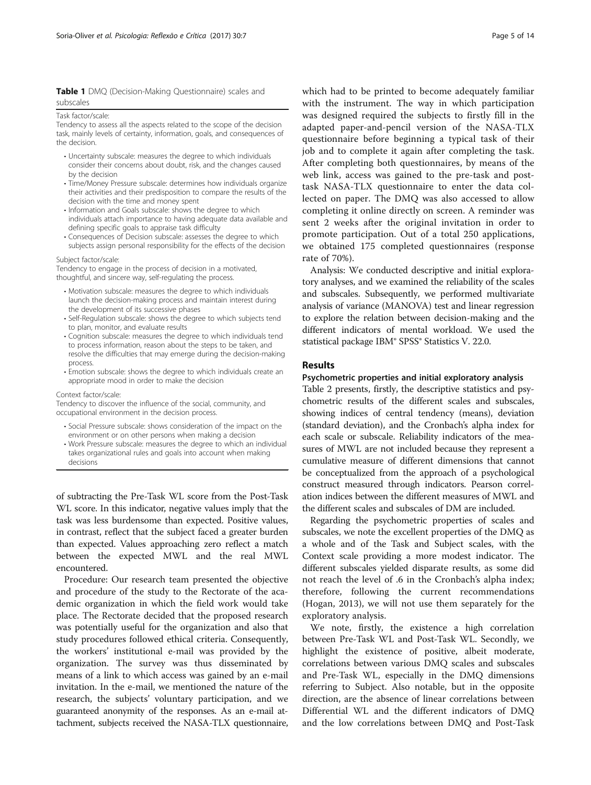## <span id="page-4-0"></span>Table 1 DMQ (Decision-Making Questionnaire) scales and subscales

Task factor/scale:

Tendency to assess all the aspects related to the scope of the decision task, mainly levels of certainty, information, goals, and consequences of the decision.

- Uncertainty subscale: measures the degree to which individuals consider their concerns about doubt, risk, and the changes caused by the decision
- Time/Money Pressure subscale: determines how individuals organize their activities and their predisposition to compare the results of the decision with the time and money spent
- Information and Goals subscale: shows the degree to which individuals attach importance to having adequate data available and defining specific goals to appraise task difficulty
- Consequences of Decision subscale: assesses the degree to which subjects assign personal responsibility for the effects of the decision

#### Subject factor/scale:

Tendency to engage in the process of decision in a motivated, thoughtful, and sincere way, self-regulating the process.

- Motivation subscale: measures the degree to which individuals launch the decision-making process and maintain interest during the development of its successive phases
- Self-Regulation subscale: shows the degree to which subjects tend to plan, monitor, and evaluate results
- Cognition subscale: measures the degree to which individuals tend to process information, reason about the steps to be taken, and resolve the difficulties that may emerge during the decision-making process.
- Emotion subscale: shows the degree to which individuals create an appropriate mood in order to make the decision

Context factor/scale:

Tendency to discover the influence of the social, community, and occupational environment in the decision process.

- Social Pressure subscale: shows consideration of the impact on the environment or on other persons when making a decision
- Work Pressure subscale: measures the degree to which an individual takes organizational rules and goals into account when making decisions

of subtracting the Pre-Task WL score from the Post-Task WL score. In this indicator, negative values imply that the task was less burdensome than expected. Positive values, in contrast, reflect that the subject faced a greater burden than expected. Values approaching zero reflect a match between the expected MWL and the real MWL encountered.

Procedure: Our research team presented the objective and procedure of the study to the Rectorate of the academic organization in which the field work would take place. The Rectorate decided that the proposed research was potentially useful for the organization and also that study procedures followed ethical criteria. Consequently, the workers' institutional e-mail was provided by the organization. The survey was thus disseminated by means of a link to which access was gained by an e-mail invitation. In the e-mail, we mentioned the nature of the research, the subjects' voluntary participation, and we guaranteed anonymity of the responses. As an e-mail attachment, subjects received the NASA-TLX questionnaire, which had to be printed to become adequately familiar with the instrument. The way in which participation was designed required the subjects to firstly fill in the adapted paper-and-pencil version of the NASA-TLX questionnaire before beginning a typical task of their job and to complete it again after completing the task. After completing both questionnaires, by means of the web link, access was gained to the pre-task and posttask NASA-TLX questionnaire to enter the data collected on paper. The DMQ was also accessed to allow completing it online directly on screen. A reminder was sent 2 weeks after the original invitation in order to promote participation. Out of a total 250 applications, we obtained 175 completed questionnaires (response rate of 70%).

Analysis: We conducted descriptive and initial exploratory analyses, and we examined the reliability of the scales and subscales. Subsequently, we performed multivariate analysis of variance (MANOVA) test and linear regression to explore the relation between decision-making and the different indicators of mental workload. We used the statistical package IBM® SPSS® Statistics V. 22.0.

## Results

## Psychometric properties and initial exploratory analysis

Table [2](#page-5-0) presents, firstly, the descriptive statistics and psychometric results of the different scales and subscales, showing indices of central tendency (means), deviation (standard deviation), and the Cronbach's alpha index for each scale or subscale. Reliability indicators of the measures of MWL are not included because they represent a cumulative measure of different dimensions that cannot be conceptualized from the approach of a psychological construct measured through indicators. Pearson correlation indices between the different measures of MWL and the different scales and subscales of DM are included.

Regarding the psychometric properties of scales and subscales, we note the excellent properties of the DMQ as a whole and of the Task and Subject scales, with the Context scale providing a more modest indicator. The different subscales yielded disparate results, as some did not reach the level of .6 in the Cronbach's alpha index; therefore, following the current recommendations (Hogan, [2013\)](#page-13-0), we will not use them separately for the exploratory analysis.

We note, firstly, the existence a high correlation between Pre-Task WL and Post-Task WL. Secondly, we highlight the existence of positive, albeit moderate, correlations between various DMQ scales and subscales and Pre-Task WL, especially in the DMQ dimensions referring to Subject. Also notable, but in the opposite direction, are the absence of linear correlations between Differential WL and the different indicators of DMQ and the low correlations between DMQ and Post-Task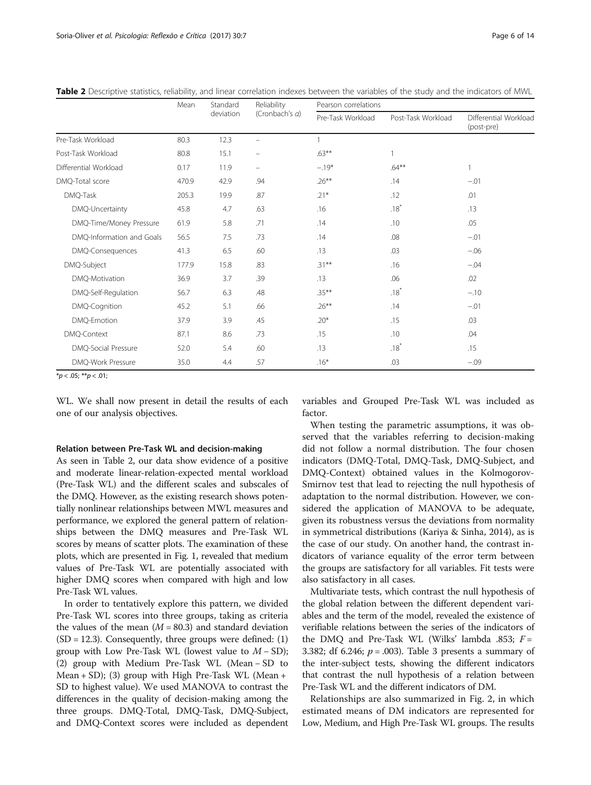Mean Ctandard

|                           | <b>IVICALL</b> | <u>Stariuaru</u><br>deviation | nellability<br>(Cronbach's $a$ ) | <b>FEALSULL CULLERATIONS</b> |                    |                                     |  |
|---------------------------|----------------|-------------------------------|----------------------------------|------------------------------|--------------------|-------------------------------------|--|
|                           |                |                               |                                  | Pre-Task Workload            | Post-Task Workload | Differential Workload<br>(post-pre) |  |
| Pre-Task Workload         | 80.3           | 12.3                          |                                  |                              |                    |                                     |  |
| Post-Task Workload        | 80.8           | 15.1                          | $\overline{\phantom{0}}$         | $.63***$                     |                    |                                     |  |
| Differential Workload     | 0.17           | 11.9                          | -                                | $-.19*$                      | $.64***$           |                                     |  |
| DMQ-Total score           | 470.9          | 42.9                          | .94                              | $.26***$                     | .14                | $-.01$                              |  |
| DMQ-Task                  | 205.3          | 19.9                          | .87                              | $.21*$                       | .12                | .01                                 |  |
| DMQ-Uncertainty           | 45.8           | 4.7                           | .63                              | .16                          | $.18*$             | .13                                 |  |
| DMQ-Time/Money Pressure   | 61.9           | 5.8                           | .71                              | .14                          | .10                | .05                                 |  |
| DMQ-Information and Goals | 56.5           | 7.5                           | .73                              | .14                          | .08                | $-.01$                              |  |
| DMQ-Consequences          | 41.3           | 6.5                           | .60                              | .13                          | .03                | $-.06$                              |  |
| DMQ-Subject               | 177.9          | 15.8                          | .83                              | $.31***$                     | .16                | $-.04$                              |  |
| DMQ-Motivation            | 36.9           | 3.7                           | .39                              | .13                          | .06                | .02                                 |  |
| DMQ-Self-Regulation       | 56.7           | 6.3                           | .48                              | $.35***$                     | $.18*$             | $-.10$                              |  |
| DMQ-Cognition             | 45.2           | 5.1                           | .66                              | $.26***$                     | .14                | $-.01$                              |  |
| DMQ-Emotion               | 37.9           | 3.9                           | .45                              | $.20*$                       | .15                | .03                                 |  |
| DMQ-Context               | 87.1           | 8.6                           | .73                              | .15                          | .10                | .04                                 |  |
| DMQ-Social Pressure       | 52.0           | 5.4                           | .60                              | .13                          | $.18^{*}$          | .15                                 |  |
| DMQ-Work Pressure         | 35.0           | 4.4                           | .57                              | $.16*$                       | .03                | $-.09$                              |  |

<span id="page-5-0"></span>Table 2 Descriptive statistics, reliability, and linear correlation indexes between the variables of the study and the indicators of MWL

Pearson correlations

Reliability

 $*p < .05; **p < .01;$ 

WL. We shall now present in detail the results of each one of our analysis objectives.

## Relation between Pre-Task WL and decision-making

As seen in Table 2, our data show evidence of a positive and moderate linear-relation-expected mental workload (Pre-Task WL) and the different scales and subscales of the DMQ. However, as the existing research shows potentially nonlinear relationships between MWL measures and performance, we explored the general pattern of relationships between the DMQ measures and Pre-Task WL scores by means of scatter plots. The examination of these plots, which are presented in Fig. [1,](#page-6-0) revealed that medium values of Pre-Task WL are potentially associated with higher DMQ scores when compared with high and low Pre-Task WL values.

In order to tentatively explore this pattern, we divided Pre-Task WL scores into three groups, taking as criteria the values of the mean  $(M = 80.3)$  and standard deviation  $(SD = 12.3)$ . Consequently, three groups were defined: (1) group with Low Pre-Task WL (lowest value to  $M - SD$ ); (2) group with Medium Pre-Task WL (Mean − SD to Mean + SD); (3) group with High Pre-Task WL (Mean + SD to highest value). We used MANOVA to contrast the differences in the quality of decision-making among the three groups. DMQ-Total, DMQ-Task, DMQ-Subject, and DMQ-Context scores were included as dependent variables and Grouped Pre-Task WL was included as factor.

When testing the parametric assumptions, it was observed that the variables referring to decision-making did not follow a normal distribution. The four chosen indicators (DMQ-Total, DMQ-Task, DMQ-Subject, and DMQ-Context) obtained values in the Kolmogorov-Smirnov test that lead to rejecting the null hypothesis of adaptation to the normal distribution. However, we considered the application of MANOVA to be adequate, given its robustness versus the deviations from normality in symmetrical distributions (Kariya & Sinha, [2014\)](#page-13-0), as is the case of our study. On another hand, the contrast indicators of variance equality of the error term between the groups are satisfactory for all variables. Fit tests were also satisfactory in all cases.

Multivariate tests, which contrast the null hypothesis of the global relation between the different dependent variables and the term of the model, revealed the existence of verifiable relations between the series of the indicators of the DMQ and Pre-Task WL (Wilks' lambda .853;  $F =$ 3.382; df 6.246;  $p = .003$ ). Table [3](#page-6-0) presents a summary of the inter-subject tests, showing the different indicators that contrast the null hypothesis of a relation between Pre-Task WL and the different indicators of DM.

Relationships are also summarized in Fig. [2,](#page-7-0) in which estimated means of DM indicators are represented for Low, Medium, and High Pre-Task WL groups. The results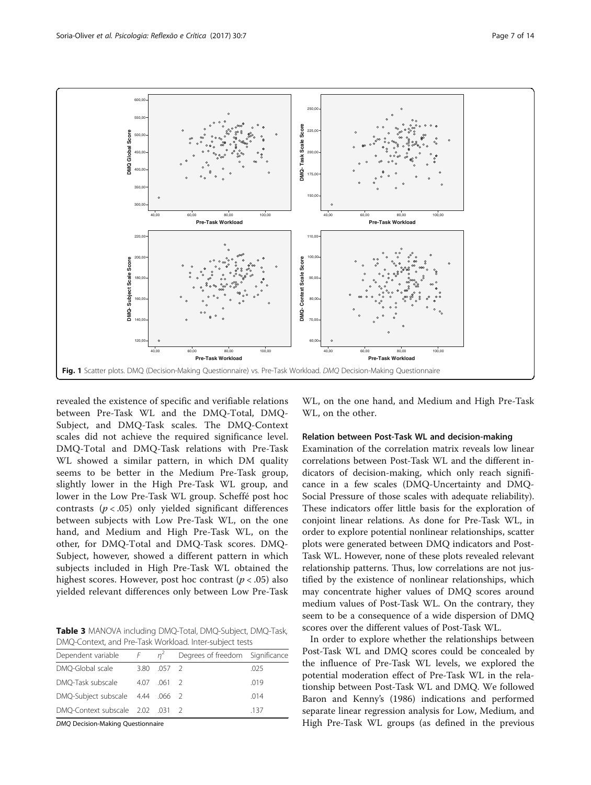<span id="page-6-0"></span>

revealed the existence of specific and verifiable relations between Pre-Task WL and the DMQ-Total, DMQ-Subject, and DMQ-Task scales. The DMQ-Context scales did not achieve the required significance level. DMQ-Total and DMQ-Task relations with Pre-Task WL showed a similar pattern, in which DM quality seems to be better in the Medium Pre-Task group, slightly lower in the High Pre-Task WL group, and lower in the Low Pre-Task WL group. Scheffé post hoc contrasts  $(p < .05)$  only yielded significant differences between subjects with Low Pre-Task WL, on the one hand, and Medium and High Pre-Task WL, on the other, for DMQ-Total and DMQ-Task scores. DMQ-Subject, however, showed a different pattern in which subjects included in High Pre-Task WL obtained the highest scores. However, post hoc contrast ( $p < .05$ ) also yielded relevant differences only between Low Pre-Task

Table 3 MANOVA including DMQ-Total, DMQ-Subject, DMQ-Task, DMQ-Context, and Pre-Task Workload. Inter-subject tests

| Dependent variable $F = n^2$     |      |              | Degrees of freedom Significance |      |
|----------------------------------|------|--------------|---------------------------------|------|
| DMO-Global scale                 | 3.80 | $.057$ 2     |                                 | .025 |
| DMQ-Task subscale                |      | $4.07$ 061 2 |                                 | .019 |
| DMQ-Subject subscale 4.44 .066 2 |      |              |                                 | .014 |
| DMQ-Context subscale 2.02 .031 2 |      |              |                                 | 137  |
| .                                |      |              |                                 |      |

DMQ Decision-Making Questionnaire

WL, on the one hand, and Medium and High Pre-Task WL, on the other.

## Relation between Post-Task WL and decision-making

Examination of the correlation matrix reveals low linear correlations between Post-Task WL and the different indicators of decision-making, which only reach significance in a few scales (DMQ-Uncertainty and DMQ-Social Pressure of those scales with adequate reliability). These indicators offer little basis for the exploration of conjoint linear relations. As done for Pre-Task WL, in order to explore potential nonlinear relationships, scatter plots were generated between DMQ indicators and Post-Task WL. However, none of these plots revealed relevant relationship patterns. Thus, low correlations are not justified by the existence of nonlinear relationships, which may concentrate higher values of DMQ scores around medium values of Post-Task WL. On the contrary, they seem to be a consequence of a wide dispersion of DMQ scores over the different values of Post-Task WL.

In order to explore whether the relationships between Post-Task WL and DMQ scores could be concealed by the influence of Pre-Task WL levels, we explored the potential moderation effect of Pre-Task WL in the relationship between Post-Task WL and DMQ. We followed Baron and Kenny's [\(1986\)](#page-12-0) indications and performed separate linear regression analysis for Low, Medium, and High Pre-Task WL groups (as defined in the previous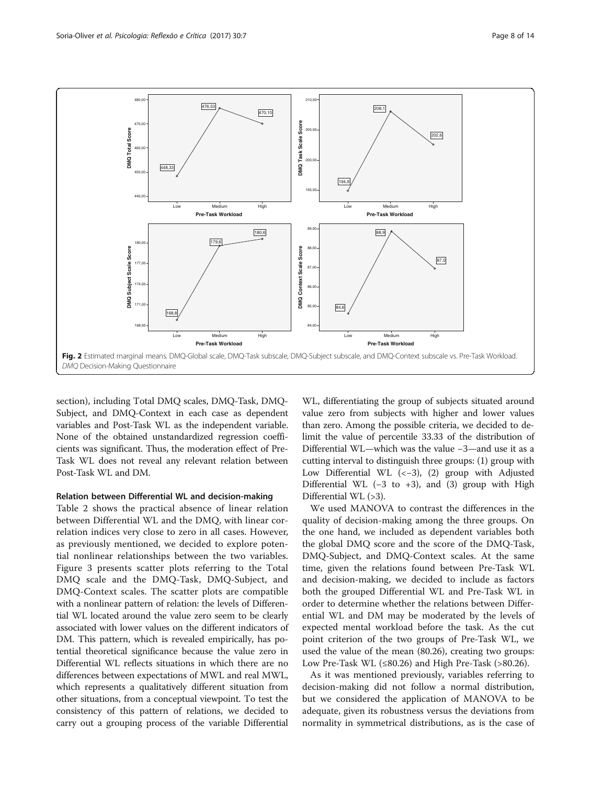<span id="page-7-0"></span>

section), including Total DMQ scales, DMQ-Task, DMQ-Subject, and DMQ-Context in each case as dependent variables and Post-Task WL as the independent variable. None of the obtained unstandardized regression coefficients was significant. Thus, the moderation effect of Pre-Task WL does not reveal any relevant relation between Post-Task WL and DM.

## Relation between Differential WL and decision-making

Table [2](#page-5-0) shows the practical absence of linear relation between Differential WL and the DMQ, with linear correlation indices very close to zero in all cases. However, as previously mentioned, we decided to explore potential nonlinear relationships between the two variables. Figure [3](#page-8-0) presents scatter plots referring to the Total DMQ scale and the DMQ-Task, DMQ-Subject, and DMQ-Context scales. The scatter plots are compatible with a nonlinear pattern of relation: the levels of Differential WL located around the value zero seem to be clearly associated with lower values on the different indicators of DM. This pattern, which is revealed empirically, has potential theoretical significance because the value zero in Differential WL reflects situations in which there are no differences between expectations of MWL and real MWL, which represents a qualitatively different situation from other situations, from a conceptual viewpoint. To test the consistency of this pattern of relations, we decided to carry out a grouping process of the variable Differential

WL, differentiating the group of subjects situated around value zero from subjects with higher and lower values than zero. Among the possible criteria, we decided to delimit the value of percentile 33.33 of the distribution of Differential WL—which was the value −3—and use it as a cutting interval to distinguish three groups: (1) group with Low Differential WL (<−3), (2) group with Adjusted Differential WL (−3 to +3), and (3) group with High Differential WL (>3).

We used MANOVA to contrast the differences in the quality of decision-making among the three groups. On the one hand, we included as dependent variables both the global DMQ score and the score of the DMQ-Task, DMQ-Subject, and DMQ-Context scales. At the same time, given the relations found between Pre-Task WL and decision-making, we decided to include as factors both the grouped Differential WL and Pre-Task WL in order to determine whether the relations between Differential WL and DM may be moderated by the levels of expected mental workload before the task. As the cut point criterion of the two groups of Pre-Task WL, we used the value of the mean (80.26), creating two groups: Low Pre-Task WL  $(\leq 80.26)$  and High Pre-Task  $(\geq 80.26)$ .

As it was mentioned previously, variables referring to decision-making did not follow a normal distribution, but we considered the application of MANOVA to be adequate, given its robustness versus the deviations from normality in symmetrical distributions, as is the case of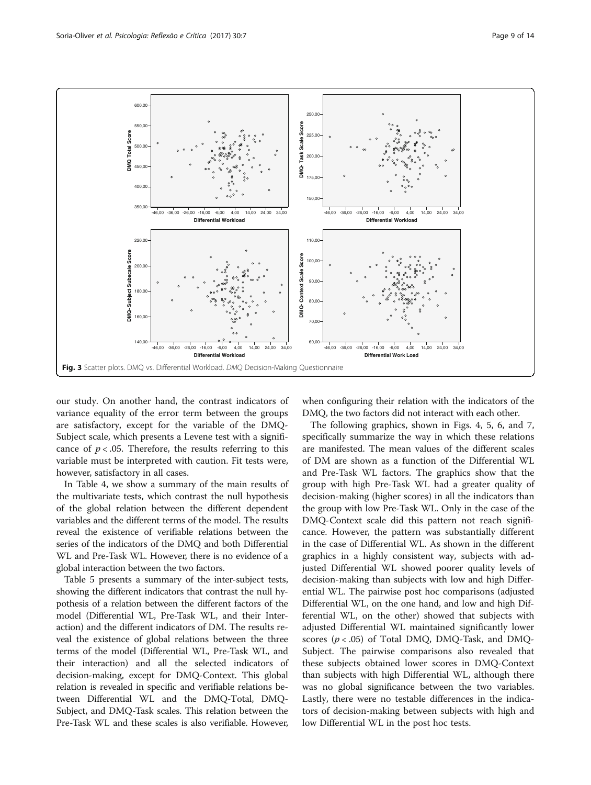<span id="page-8-0"></span>

our study. On another hand, the contrast indicators of variance equality of the error term between the groups are satisfactory, except for the variable of the DMQ-Subject scale, which presents a Levene test with a significance of  $p < .05$ . Therefore, the results referring to this variable must be interpreted with caution. Fit tests were, however, satisfactory in all cases.

In Table [4](#page-9-0), we show a summary of the main results of the multivariate tests, which contrast the null hypothesis of the global relation between the different dependent variables and the different terms of the model. The results reveal the existence of verifiable relations between the series of the indicators of the DMQ and both Differential WL and Pre-Task WL. However, there is no evidence of a global interaction between the two factors.

Table [5](#page-9-0) presents a summary of the inter-subject tests, showing the different indicators that contrast the null hypothesis of a relation between the different factors of the model (Differential WL, Pre-Task WL, and their Interaction) and the different indicators of DM. The results reveal the existence of global relations between the three terms of the model (Differential WL, Pre-Task WL, and their interaction) and all the selected indicators of decision-making, except for DMQ-Context. This global relation is revealed in specific and verifiable relations between Differential WL and the DMQ-Total, DMQ-Subject, and DMQ-Task scales. This relation between the Pre-Task WL and these scales is also verifiable. However, when configuring their relation with the indicators of the DMQ, the two factors did not interact with each other.

The following graphics, shown in Figs. [4](#page-10-0), [5](#page-10-0), [6](#page-10-0), and [7](#page-10-0), specifically summarize the way in which these relations are manifested. The mean values of the different scales of DM are shown as a function of the Differential WL and Pre-Task WL factors. The graphics show that the group with high Pre-Task WL had a greater quality of decision-making (higher scores) in all the indicators than the group with low Pre-Task WL. Only in the case of the DMQ-Context scale did this pattern not reach significance. However, the pattern was substantially different in the case of Differential WL. As shown in the different graphics in a highly consistent way, subjects with adjusted Differential WL showed poorer quality levels of decision-making than subjects with low and high Differential WL. The pairwise post hoc comparisons (adjusted Differential WL, on the one hand, and low and high Differential WL, on the other) showed that subjects with adjusted Differential WL maintained significantly lower scores  $(p < .05)$  of Total DMQ, DMQ-Task, and DMQ-Subject. The pairwise comparisons also revealed that these subjects obtained lower scores in DMQ-Context than subjects with high Differential WL, although there was no global significance between the two variables. Lastly, there were no testable differences in the indicators of decision-making between subjects with high and low Differential WL in the post hoc tests.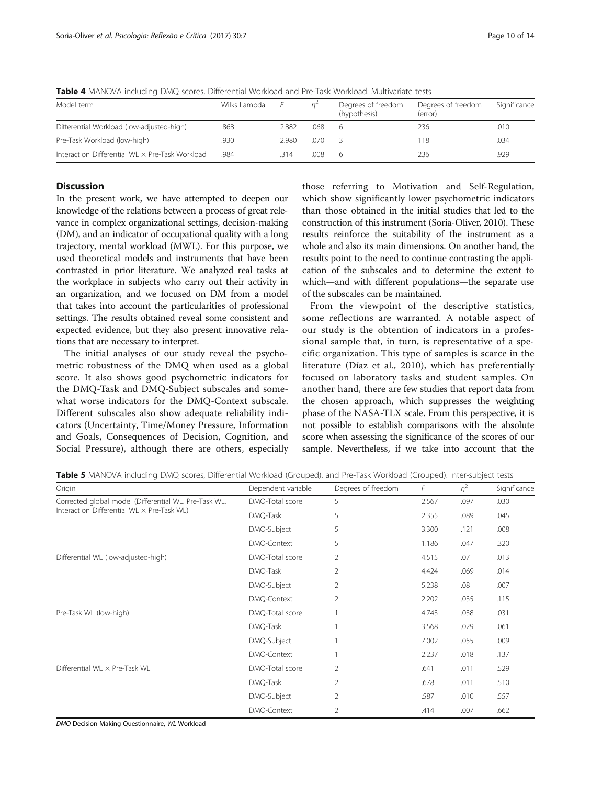<span id="page-9-0"></span>Table 4 MANOVA including DMQ scores, Differential Workload and Pre-Task Workload. Multivariate tests

| Model term                                             | Wilks Lambda |       |       | Degrees of freedom<br>(hypothesis) | Degrees of freedom<br>(error) | Significance |
|--------------------------------------------------------|--------------|-------|-------|------------------------------------|-------------------------------|--------------|
| Differential Workload (low-adjusted-high)              | .868         | 2.882 | .068  | - რ                                | 236                           | .010         |
| Pre-Task Workload (low-high)                           | .930         | 2.980 | 070   |                                    | 118                           | .034         |
| Interaction Differential WL $\times$ Pre-Task Workload | .984         | 314   | COO 3 | - რ                                | 236.                          | .929         |

## Discussion

In the present work, we have attempted to deepen our knowledge of the relations between a process of great relevance in complex organizational settings, decision-making (DM), and an indicator of occupational quality with a long trajectory, mental workload (MWL). For this purpose, we used theoretical models and instruments that have been contrasted in prior literature. We analyzed real tasks at the workplace in subjects who carry out their activity in an organization, and we focused on DM from a model that takes into account the particularities of professional settings. The results obtained reveal some consistent and expected evidence, but they also present innovative relations that are necessary to interpret.

The initial analyses of our study reveal the psychometric robustness of the DMQ when used as a global score. It also shows good psychometric indicators for the DMQ-Task and DMQ-Subject subscales and somewhat worse indicators for the DMQ-Context subscale. Different subscales also show adequate reliability indicators (Uncertainty, Time/Money Pressure, Information and Goals, Consequences of Decision, Cognition, and Social Pressure), although there are others, especially those referring to Motivation and Self-Regulation, which show significantly lower psychometric indicators than those obtained in the initial studies that led to the construction of this instrument (Soria-Oliver, [2010\)](#page-13-0). These results reinforce the suitability of the instrument as a whole and also its main dimensions. On another hand, the results point to the need to continue contrasting the application of the subscales and to determine the extent to which—and with different populations—the separate use of the subscales can be maintained.

From the viewpoint of the descriptive statistics, some reflections are warranted. A notable aspect of our study is the obtention of indicators in a professional sample that, in turn, is representative of a specific organization. This type of samples is scarce in the literature (Díaz et al., [2010](#page-13-0)), which has preferentially focused on laboratory tasks and student samples. On another hand, there are few studies that report data from the chosen approach, which suppresses the weighting phase of the NASA-TLX scale. From this perspective, it is not possible to establish comparisons with the absolute score when assessing the significance of the scores of our sample. Nevertheless, if we take into account that the

| Origin                                                | Dependent variable | Degrees of freedom | F     | $\eta^2$ | Significance |
|-------------------------------------------------------|--------------------|--------------------|-------|----------|--------------|
| Corrected global model (Differential WL. Pre-Task WL. | DMQ-Total score    | 5                  | 2.567 | .097     | .030         |
| Interaction Differential WL x Pre-Task WL)            | DMQ-Task           | 5                  | 2.355 | .089     | .045         |
|                                                       | DMQ-Subject        | 5                  | 3.300 | .121     | .008         |
|                                                       | DMQ-Context        | 5                  | 1.186 | .047     | .320         |
| Differential WL (low-adjusted-high)                   | DMQ-Total score    | 2                  | 4.515 | .07      | .013         |
|                                                       | DMQ-Task           | 2                  | 4.424 | .069     | .014         |
|                                                       | DMQ-Subject        | 2                  | 5.238 | .08      | .007         |
|                                                       | DMQ-Context        | $\overline{2}$     | 2.202 | .035     | .115         |
| Pre-Task WL (low-high)                                | DMQ-Total score    |                    | 4.743 | .038     | .031         |
|                                                       | DMQ-Task           |                    | 3.568 | .029     | .061         |
|                                                       | DMQ-Subject        |                    | 7.002 | .055     | .009         |
|                                                       | DMQ-Context        |                    | 2.237 | .018     | .137         |
| Differential WL $\times$ Pre-Task WL                  | DMQ-Total score    | 2                  | .641  | .011     | .529         |
|                                                       | DMQ-Task           | 2                  | .678  | .011     | .510         |
|                                                       | DMQ-Subject        | 2                  | .587  | .010     | .557         |
|                                                       | DMQ-Context        | 2                  | .414  | .007     | .662         |

Table 5 MANOVA including DMQ scores, Differential Workload (Grouped), and Pre-Task Workload (Grouped). Inter-subject tests

DMQ Decision-Making Questionnaire, WL Workload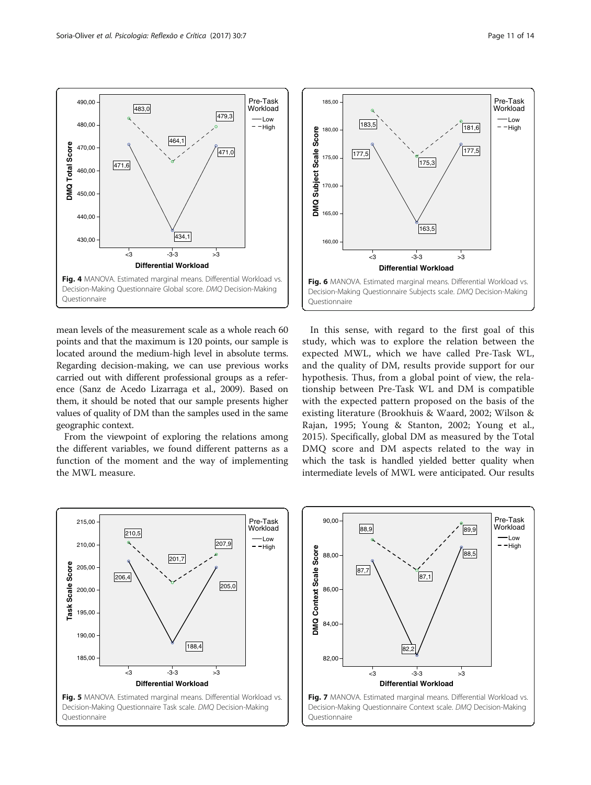$483,0$ 

471,6

**DMQ Total Score**

DMQ Total Score

<span id="page-10-0"></span>490,00

480,00

470,00

460,00

450,00

440,00

430,00

Questionnaire

mean levels of the measurement scale as a whole reach 60 points and that the maximum is 120 points, our sample is located around the medium-high level in absolute terms. Regarding decision-making, we can use previous works carried out with different professional groups as a reference (Sanz de Acedo Lizarraga et al., [2009\)](#page-13-0). Based on them, it should be noted that our sample presents higher values of quality of DM than the samples used in the same geographic context.

**Differential Workload**   $<$ 3  $-3$   $>$ 3  $>$ 3

Fig. 4 MANOVA. Estimated marginal means. Differential Workload vs. Decision-Making Questionnaire Global score. DMQ Decision-Making

434.1

464,1

 $479,3$ 

471,0

From the viewpoint of exploring the relations among the different variables, we found different patterns as a function of the moment and the way of implementing the MWL measure.

In this sense, with regard to the first goal of this study, which was to explore the relation between the expected MWL, which we have called Pre-Task WL, and the quality of DM, results provide support for our hypothesis. Thus, from a global point of view, the relationship between Pre-Task WL and DM is compatible with the expected pattern proposed on the basis of the existing literature (Brookhuis & Waard, [2002](#page-13-0); Wilson & Rajan, [1995](#page-13-0); Young & Stanton, [2002;](#page-13-0) Young et al., [2015\)](#page-13-0). Specifically, global DM as measured by the Total DMQ score and DM aspects related to the way in which the task is handled yielded better quality when

intermediate levels of MWL were anticipated. Our results







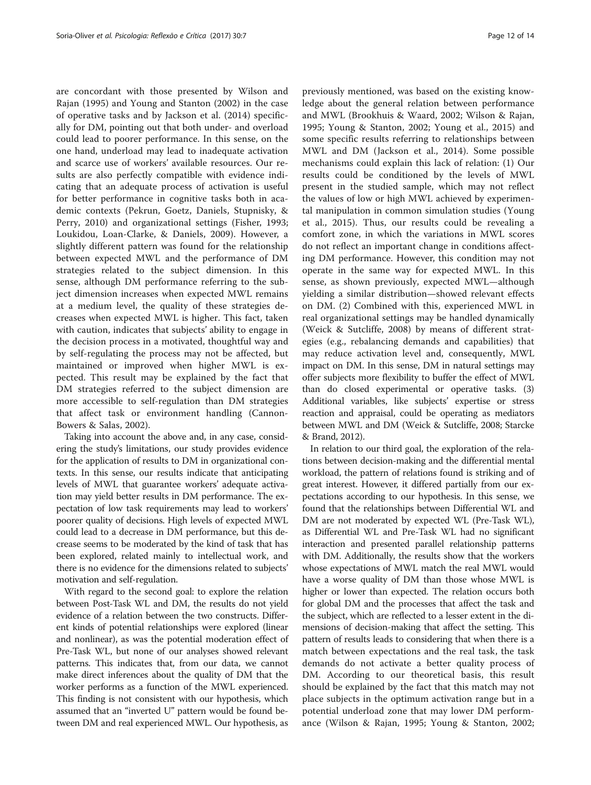are concordant with those presented by Wilson and Rajan [\(1995](#page-13-0)) and Young and Stanton ([2002\)](#page-13-0) in the case of operative tasks and by Jackson et al. [\(2014](#page-13-0)) specifically for DM, pointing out that both under- and overload could lead to poorer performance. In this sense, on the one hand, underload may lead to inadequate activation and scarce use of workers' available resources. Our results are also perfectly compatible with evidence indicating that an adequate process of activation is useful for better performance in cognitive tasks both in academic contexts (Pekrun, Goetz, Daniels, Stupnisky, & Perry, [2010\)](#page-13-0) and organizational settings (Fisher, [1993](#page-13-0); Loukidou, Loan-Clarke, & Daniels, [2009](#page-13-0)). However, a slightly different pattern was found for the relationship between expected MWL and the performance of DM strategies related to the subject dimension. In this sense, although DM performance referring to the subject dimension increases when expected MWL remains at a medium level, the quality of these strategies decreases when expected MWL is higher. This fact, taken with caution, indicates that subjects' ability to engage in the decision process in a motivated, thoughtful way and by self-regulating the process may not be affected, but maintained or improved when higher MWL is expected. This result may be explained by the fact that DM strategies referred to the subject dimension are more accessible to self-regulation than DM strategies that affect task or environment handling (Cannon-Bowers & Salas, [2002](#page-13-0)).

Taking into account the above and, in any case, considering the study's limitations, our study provides evidence for the application of results to DM in organizational contexts. In this sense, our results indicate that anticipating levels of MWL that guarantee workers' adequate activation may yield better results in DM performance. The expectation of low task requirements may lead to workers' poorer quality of decisions. High levels of expected MWL could lead to a decrease in DM performance, but this decrease seems to be moderated by the kind of task that has been explored, related mainly to intellectual work, and there is no evidence for the dimensions related to subjects' motivation and self-regulation.

With regard to the second goal: to explore the relation between Post-Task WL and DM, the results do not yield evidence of a relation between the two constructs. Different kinds of potential relationships were explored (linear and nonlinear), as was the potential moderation effect of Pre-Task WL, but none of our analyses showed relevant patterns. This indicates that, from our data, we cannot make direct inferences about the quality of DM that the worker performs as a function of the MWL experienced. This finding is not consistent with our hypothesis, which assumed that an "inverted U" pattern would be found between DM and real experienced MWL. Our hypothesis, as

previously mentioned, was based on the existing knowledge about the general relation between performance and MWL (Brookhuis & Waard, [2002](#page-13-0); Wilson & Rajan, [1995;](#page-13-0) Young & Stanton, [2002;](#page-13-0) Young et al., [2015](#page-13-0)) and some specific results referring to relationships between MWL and DM (Jackson et al., [2014\)](#page-13-0). Some possible mechanisms could explain this lack of relation: (1) Our results could be conditioned by the levels of MWL present in the studied sample, which may not reflect the values of low or high MWL achieved by experimental manipulation in common simulation studies (Young et al., [2015\)](#page-13-0). Thus, our results could be revealing a comfort zone, in which the variations in MWL scores do not reflect an important change in conditions affecting DM performance. However, this condition may not operate in the same way for expected MWL. In this sense, as shown previously, expected MWL—although yielding a similar distribution—showed relevant effects on DM. (2) Combined with this, experienced MWL in real organizational settings may be handled dynamically (Weick & Sutcliffe, [2008](#page-13-0)) by means of different strategies (e.g., rebalancing demands and capabilities) that may reduce activation level and, consequently, MWL impact on DM. In this sense, DM in natural settings may offer subjects more flexibility to buffer the effect of MWL than do closed experimental or operative tasks. (3) Additional variables, like subjects' expertise or stress reaction and appraisal, could be operating as mediators between MWL and DM (Weick & Sutcliffe, [2008](#page-13-0); Starcke & Brand, [2012](#page-13-0)).

In relation to our third goal, the exploration of the relations between decision-making and the differential mental workload, the pattern of relations found is striking and of great interest. However, it differed partially from our expectations according to our hypothesis. In this sense, we found that the relationships between Differential WL and DM are not moderated by expected WL (Pre-Task WL), as Differential WL and Pre-Task WL had no significant interaction and presented parallel relationship patterns with DM. Additionally, the results show that the workers whose expectations of MWL match the real MWL would have a worse quality of DM than those whose MWL is higher or lower than expected. The relation occurs both for global DM and the processes that affect the task and the subject, which are reflected to a lesser extent in the dimensions of decision-making that affect the setting. This pattern of results leads to considering that when there is a match between expectations and the real task, the task demands do not activate a better quality process of DM. According to our theoretical basis, this result should be explained by the fact that this match may not place subjects in the optimum activation range but in a potential underload zone that may lower DM performance (Wilson & Rajan, [1995](#page-13-0); Young & Stanton, [2002](#page-13-0);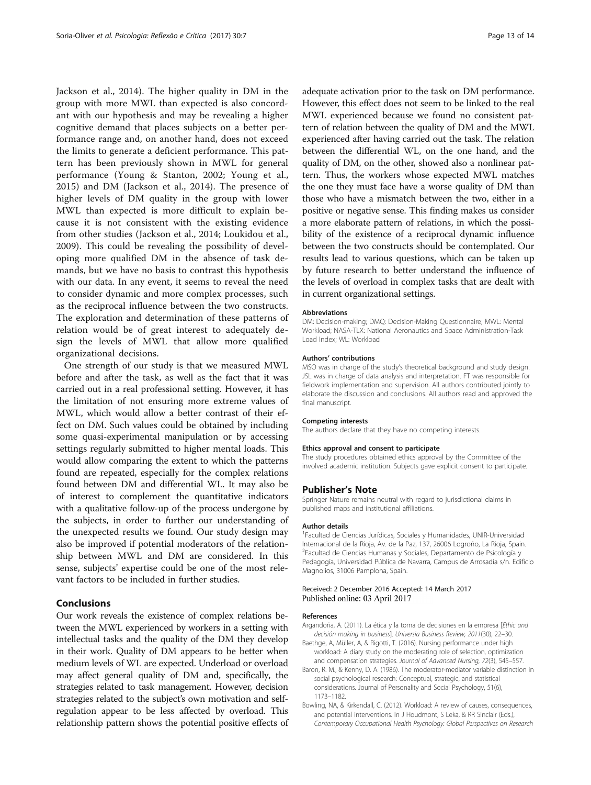<span id="page-12-0"></span>Jackson et al., [2014\)](#page-13-0). The higher quality in DM in the group with more MWL than expected is also concordant with our hypothesis and may be revealing a higher cognitive demand that places subjects on a better performance range and, on another hand, does not exceed the limits to generate a deficient performance. This pattern has been previously shown in MWL for general performance (Young & Stanton, [2002;](#page-13-0) Young et al., [2015\)](#page-13-0) and DM (Jackson et al., [2014\)](#page-13-0). The presence of higher levels of DM quality in the group with lower MWL than expected is more difficult to explain because it is not consistent with the existing evidence from other studies (Jackson et al., [2014](#page-13-0); Loukidou et al., [2009\)](#page-13-0). This could be revealing the possibility of developing more qualified DM in the absence of task demands, but we have no basis to contrast this hypothesis with our data. In any event, it seems to reveal the need to consider dynamic and more complex processes, such as the reciprocal influence between the two constructs. The exploration and determination of these patterns of relation would be of great interest to adequately design the levels of MWL that allow more qualified organizational decisions.

One strength of our study is that we measured MWL before and after the task, as well as the fact that it was carried out in a real professional setting. However, it has the limitation of not ensuring more extreme values of MWL, which would allow a better contrast of their effect on DM. Such values could be obtained by including some quasi-experimental manipulation or by accessing settings regularly submitted to higher mental loads. This would allow comparing the extent to which the patterns found are repeated, especially for the complex relations found between DM and differential WL. It may also be of interest to complement the quantitative indicators with a qualitative follow-up of the process undergone by the subjects, in order to further our understanding of the unexpected results we found. Our study design may also be improved if potential moderators of the relationship between MWL and DM are considered. In this sense, subjects' expertise could be one of the most relevant factors to be included in further studies.

## Conclusions

Our work reveals the existence of complex relations between the MWL experienced by workers in a setting with intellectual tasks and the quality of the DM they develop in their work. Quality of DM appears to be better when medium levels of WL are expected. Underload or overload may affect general quality of DM and, specifically, the strategies related to task management. However, decision strategies related to the subject's own motivation and selfregulation appear to be less affected by overload. This relationship pattern shows the potential positive effects of

adequate activation prior to the task on DM performance. However, this effect does not seem to be linked to the real MWL experienced because we found no consistent pattern of relation between the quality of DM and the MWL experienced after having carried out the task. The relation between the differential WL, on the one hand, and the quality of DM, on the other, showed also a nonlinear pattern. Thus, the workers whose expected MWL matches the one they must face have a worse quality of DM than those who have a mismatch between the two, either in a positive or negative sense. This finding makes us consider a more elaborate pattern of relations, in which the possibility of the existence of a reciprocal dynamic influence between the two constructs should be contemplated. Our results lead to various questions, which can be taken up by future research to better understand the influence of the levels of overload in complex tasks that are dealt with in current organizational settings.

#### Abbreviations

DM: Decision-making; DMQ: Decision-Making Questionnaire; MWL: Mental Workload; NASA-TLX: National Aeronautics and Space Administration-Task Load Index; WL: Workload

#### Authors' contributions

MSO was in charge of the study's theoretical background and study design. JSL was in charge of data analysis and interpretation. FT was responsible for fieldwork implementation and supervision. All authors contributed jointly to elaborate the discussion and conclusions. All authors read and approved the final manuscript.

#### Competing interests

The authors declare that they have no competing interests.

#### Ethics approval and consent to participate

The study procedures obtained ethics approval by the Committee of the involved academic institution. Subjects gave explicit consent to participate.

## Publisher's Note

Springer Nature remains neutral with regard to jurisdictional claims in published maps and institutional affiliations.

#### Author details

1 Facultad de Ciencias Jurídicas, Sociales y Humanidades, UNIR-Universidad Internacional de la Rioja, Av. de la Paz, 137, 26006 Logroño, La Rioja, Spain. 2 Facultad de Ciencias Humanas y Sociales, Departamento de Psicología y Pedagogía, Universidad Pública de Navarra, Campus de Arrosadía s/n. Edificio Magnolios, 31006 Pamplona, Spain.

## Received: 2 December 2016 Accepted: 14 March 2017 Published online: 03 April 2017

## References

- Argandoña, A. (2011). La ética y la toma de decisiones en la empresa [Ethic and decisión making in business]. Universia Business Review, 2011(30), 22–30.
- Baethge, A, Müller, A, & Rigotti, T. (2016). Nursing performance under high workload: A diary study on the moderating role of selection, optimization and compensation strategies. Journal of Advanced Nursing, 72(3), 545–557.
- Baron, R. M., & Kenny, D. A. (1986). The moderator-mediator variable distinction in social psychological research: Conceptual, strategic, and statistical considerations. Journal of Personality and Social Psychology, 51(6), 1173–1182.
- Bowling, NA, & Kirkendall, C. (2012). Workload: A review of causes, consequences, and potential interventions. In J Houdmont, S Leka, & RR Sinclair (Eds.), Contemporary Occupational Health Psychology: Global Perspectives on Research